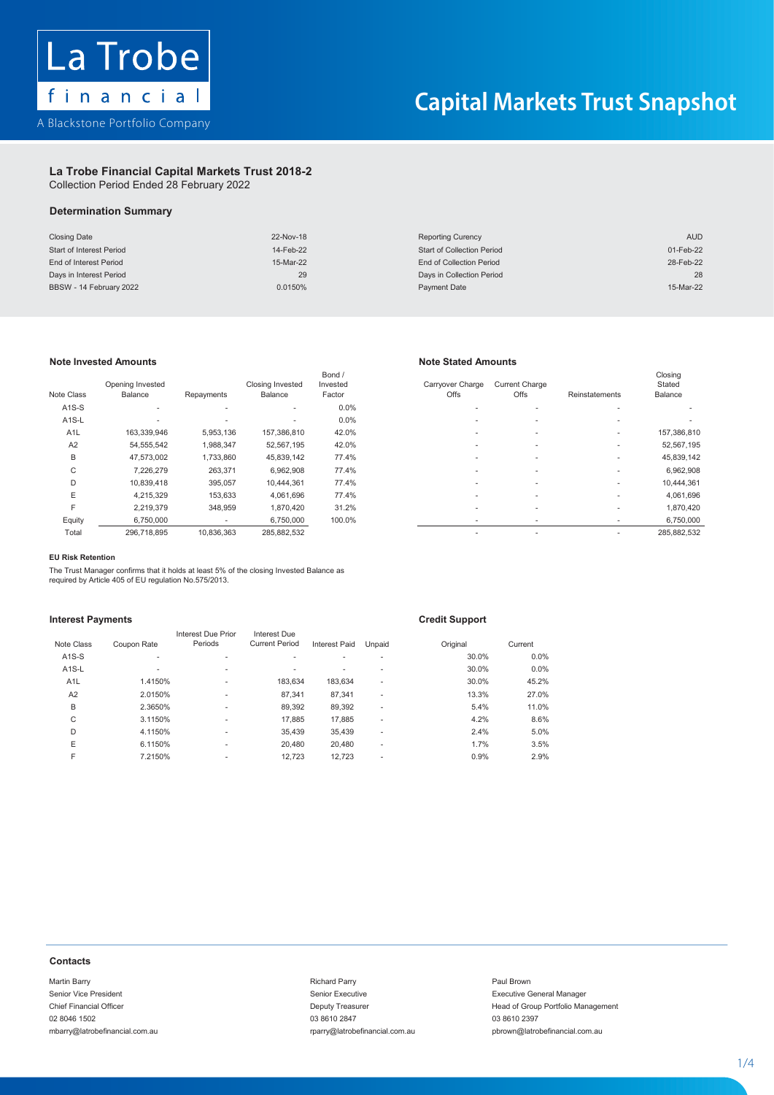

## **La Trobe Financial Capital Markets Trust 2018-2 La Trobe Financial Capital Markets Trust 2018-2**

Collection Period Ended 28 February 2022 Collection Period Ended 28 February 2022 Collection Period Ended 28 February 2022

## **Determination Summary Determination Summary Summary**

| <b>Closing Date</b>      | 22-Nov-18 | <b>Reporting Curency</b>          | <b>AUD</b> |
|--------------------------|-----------|-----------------------------------|------------|
| Start of Interest Period | 14-Feb-22 | <b>Start of Collection Period</b> | 01-Feb-22  |
| End of Interest Period   | 15-Mar-22 | End of Collection Period          | 28-Feb-22  |
| Days in Interest Period  | 29        | Days in Collection Period         | 28         |
| BBSW - 14 February 2022  | 0.0150%   | Payment Date                      | 15-Mar-22  |

### **Note Invested Amounts Note Stated Amounts Note Stated Amounts**

|                    |                  |                          |                  | Bond /   |                  |                          |                          | Closing                  |
|--------------------|------------------|--------------------------|------------------|----------|------------------|--------------------------|--------------------------|--------------------------|
|                    | Opening Invested |                          | Closing Invested | Invested | Carryover Charge | <b>Current Charge</b>    |                          | Stated                   |
| Note Class         | Balance          | Repayments               | Balance          | Factor   | Offs             | Offs                     | Reinstatements           | Balance                  |
| $A1S-S$            | ۰                | $\overline{\phantom{a}}$ | ٠                | 0.0%     |                  |                          |                          |                          |
| A <sub>1</sub> S-L |                  | ۰                        | $\mathbf{r}$     | 0.0%     | ۰                | $\overline{\phantom{a}}$ | $\mathbf{r}$             | $\overline{\phantom{a}}$ |
| A <sub>1</sub> L   | 163,339,946      | 5,953,136                | 157.386.810      | 42.0%    | ۰                | $\overline{\phantom{a}}$ | $\mathbf{r}$             | 157,386,810              |
| A2                 | 54,555,542       | 1,988,347                | 52,567,195       | 42.0%    | ۰                | $\overline{\phantom{a}}$ | $\mathbf{r}$             | 52,567,195               |
| B                  | 47.573.002       | 1,733,860                | 45,839,142       | 77.4%    |                  |                          | $\mathbf{r}$             | 45,839,142               |
| C                  | 7,226,279        | 263,371                  | 6,962,908        | 77.4%    |                  |                          | $\overline{\phantom{a}}$ | 6,962,908                |
| D                  | 10,839,418       | 395,057                  | 10,444,361       | 77.4%    |                  | ۰.                       | $\mathbf{r}$             | 10,444,361               |
| E                  | 4.215.329        | 153,633                  | 4.061.696        | 77.4%    |                  |                          | $\mathbf{r}$             | 4,061,696                |
| F                  | 2.219.379        | 348,959                  | 1,870,420        | 31.2%    | ۰                |                          | $\mathbf{r}$             | 1,870,420                |
| Equity             | 6,750,000        | ۰                        | 6,750,000        | 100.0%   | ۰                |                          | $\mathbf{r}$             | 6,750,000                |
| Total              | 296 718 895      | <b>10.836.363</b>        | 285 882 532      |          |                  |                          | $\sim$                   | 285 882 532              |

|                    | Opening Invested |              | <b>Closing Invested</b> | Bond /<br>Invested | Carryover Charge | <b>Current Charge</b>    |                | Closing<br>Stated |
|--------------------|------------------|--------------|-------------------------|--------------------|------------------|--------------------------|----------------|-------------------|
| Class              | Balance          | Repayments   | Balance                 | Factor             | Offs             | Offs                     | Reinstatements | Balance           |
| <b>A1S-S</b>       | ×.               | $\mathbf{r}$ | $\sim$                  | $0.0\%$            | ۰                | $\overline{\phantom{a}}$ |                |                   |
| A <sub>1</sub> S-L |                  |              | $\sim$                  | $0.0\%$            |                  | $\overline{\phantom{a}}$ |                |                   |
| A <sub>1</sub> L   | 163,339,946      | 5,953,136    | 157,386,810             | 42.0%              |                  |                          |                | 157,386,810       |
| A2                 | 54,555,542       | 1,988,347    | 52,567,195              | 42.0%              | ۰                | $\overline{\phantom{a}}$ |                | 52,567,195        |
| B                  | 47,573,002       | 1,733,860    | 45,839,142              | 77.4%              | ۰                | $\sim$                   |                | 45,839,142        |
| C                  | 7.226.279        | 263.371      | 6,962,908               | 77.4%              |                  | ۰                        |                | 6,962,908         |
| D                  | 10,839,418       | 395,057      | 10,444,361              | 77.4%              |                  | ۰                        |                | 10,444,361        |
| E                  | 4,215,329        | 153,633      | 4,061,696               | 77.4%              |                  | ۰                        |                | 4,061,696         |
| F                  | 2,219,379        | 348.959      | 1,870,420               | 31.2%              | ۰                | ۰                        |                | 1,870,420         |
| Equity             | 6,750,000        |              | 6,750,000               | 100.0%             | ۰                | ۰                        |                | 6,750,000         |
| Total              | 296,718,895      | 10.836.363   | 285,882,532             |                    | ۰                | ۰                        |                | 285,882,532       |
|                    |                  |              |                         |                    |                  |                          |                |                   |

### C 7,226,279 263,371 6,962,908 77.4% - - - 6,962,908 **EU Risk Retention EU Risk Retention**

The Trust Manager confirms that it holds at least 5% of the closing Invested Balance as required by Article 405 of EU regulation No.575/2013. **EU Risk RetentionInterest PaymentsCredit Support**

### **Interest Payments Credit Support Interest Payments Credit Support**

| <b>Interest Payments</b> |                    |                               |                                       |                  |        | <b>Credit Support</b> |                 |
|--------------------------|--------------------|-------------------------------|---------------------------------------|------------------|--------|-----------------------|-----------------|
| Note Class               | Coupon Rate        | Interest Due Prior<br>Periods | Interest Due<br><b>Current Period</b> |                  |        |                       |                 |
| $A1S-S$                  |                    |                               |                                       | Interest Paid    | Unpaid | Original<br>30.0%     | Current<br>0.0% |
|                          |                    |                               | $\overline{\phantom{a}}$              |                  |        |                       |                 |
| $A1S-L$                  |                    |                               | ٠                                     | ٠                | ä,     | 30.0%                 | 0.0%            |
| A <sub>1</sub> L         | 1.4150%            |                               | 183,634                               | 183,634          | ٠      | 30.0%                 | 45.2%           |
| A <sub>2</sub>           | 2.0150%            |                               | 87,341                                | 87,341           | ٠      | 13.3%                 | 27.0%           |
| B                        | 2.3650%            |                               | 89,392                                | 89,392           | ٠      | 5.4%                  | 11.0%           |
| C                        | 3.1150%            |                               | 17,885                                | 17,885           | ٠      | 4.2%                  | 8.6%            |
| D                        | 4.1150%            |                               | 35,439                                | 35,439           | ٠      | 2.4%                  | 5.0%            |
| Ε<br>F                   | 6.1150%<br>7.2150% |                               | 20,480<br>12,723                      | 20,480<br>12,723 | ٠      | 1.7%<br>0.9%          | 3.5%<br>2.9%    |
|                          |                    |                               |                                       |                  |        |                       |                 |

## **Contacts**

Martin Barry **Charles Communist Communist Communist Communist Communist Communist Communist Communist Communist Communist Communist Charles Charles Charles Charles Charles Charles Charles Charles Charles Charles Charles Ch** 

Senior Executive **Senior Executive Senior Executive General Manager** 03 8610 2847 mbarry@latrobefinancial.com.au rparry@latrobefinancial.com.au pbrown@latrobefinancial.com.au

Chief Financial Officer Chief Financial Officer Chief Executive Chief Financial Officer Management<br>
Camp 1998 102847 (02 8046 1502 1397 1398 10 2847 1398 10 2847 1398 10 2897 1398 10 2997 1398 10 2997 1398 10

1 - 4

1 - 4

1 - 4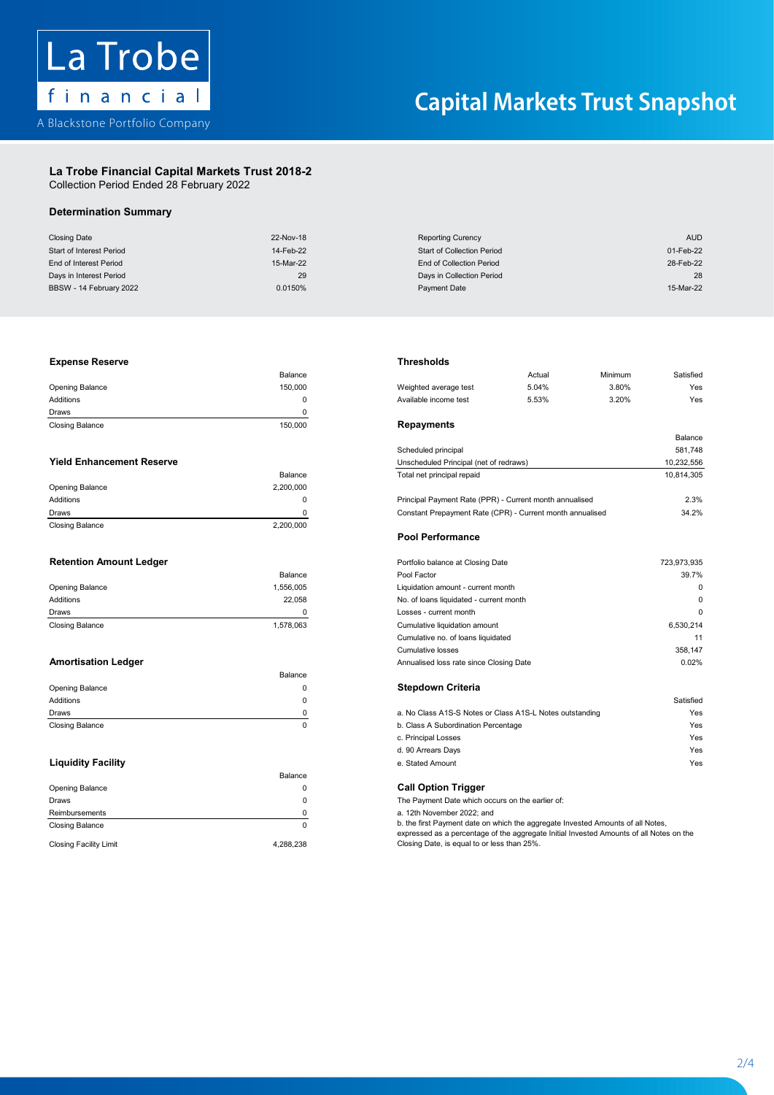

## **La Trobe Financial Capital Markets Trust 2018-2 La Trobe Financial Capital Markets Trust 2018-2**

Collection Period Ended 28 February 2022 Collection Period Ended 28 February 2022

## **Determination Summary Determination Summary La Trobe Financial Capital Markets Trust 2018-2**

| <b>Closing Date</b>      | 22-Nov-18 | <b>Reporting Curency</b>          | <b>AUD</b> |
|--------------------------|-----------|-----------------------------------|------------|
| Start of Interest Period | 14-Feb-22 | <b>Start of Collection Period</b> | 01-Feb-22  |
| End of Interest Period   | 15-Mar-22 | End of Collection Period          | 28-Feb-22  |
| Days in Interest Period  | 29        | Days in Collection Period         | 28         |
| BBSW - 14 February 2022  | 0.0150%   | Payment Date                      | 15-Mar-22  |

## Additions 0 Available income test 5.53% 3.20% Yes Additions 0 Available income test 5.53% 3.20% Yes **Expense Reserve Thresholds**

| <b>Closing Balance</b> | 150,000 | Repayments       |
|------------------------|---------|------------------|
| Draws                  |         |                  |
| Additions              |         | Available income |
| Opening Balance        | 150.000 | Weighted averag  |
|                        | Balance |                  |

|                        | Balance   |
|------------------------|-----------|
| Opening Balance        | 2,200,000 |
| Additions              | 0         |
| Draws                  | 0         |
| <b>Closing Balance</b> | 2,200,000 |

| <b>Dalance</b> |
|----------------|
| 1,556,005      |
| 22.058         |
| ŋ              |
| 1,578,063      |
|                |

|                 | Balance |                                                          |           |
|-----------------|---------|----------------------------------------------------------|-----------|
| Opening Balance |         | <b>Stepdown Criteria</b>                                 |           |
| Additions       |         |                                                          | Satisfied |
| Draws           |         | a. No Class A1S-S Notes or Class A1S-L Notes outstanding | Yes       |
| Closing Balance |         | b. Class A Subordination Percentage                      | Yes       |

|                               | Balance   |                                                                                                                                                                            |
|-------------------------------|-----------|----------------------------------------------------------------------------------------------------------------------------------------------------------------------------|
| Opening Balance               |           | <b>Call Option Trigger</b>                                                                                                                                                 |
| Draws                         |           | The Payment Date which occurs on the earlier of:                                                                                                                           |
| Reimbursements                |           | a. 12th November 2022: and                                                                                                                                                 |
| <b>Closing Balance</b>        |           | b. the first Payment date on which the aggregate Invested Amounts of all Notes,<br>expressed as a percentage of the aggregate Initial Invested Amounts of all Notes on the |
| <b>Closing Facility Limit</b> | 4.288.238 | Closing Date, is equal to or less than 25%.                                                                                                                                |

| Balance   |                               | Actual | Minimum                                                                                                                                                                                                                                       | Satisfied                                                                                                            |
|-----------|-------------------------------|--------|-----------------------------------------------------------------------------------------------------------------------------------------------------------------------------------------------------------------------------------------------|----------------------------------------------------------------------------------------------------------------------|
| 150,000   | Weighted average test         | 5.04%  | 3.80%                                                                                                                                                                                                                                         | Yes                                                                                                                  |
| 0         | Available income test         | 5.53%  | 3.20%                                                                                                                                                                                                                                         | Yes                                                                                                                  |
| 0         |                               |        |                                                                                                                                                                                                                                               |                                                                                                                      |
| 150,000   | Repayments                    |        |                                                                                                                                                                                                                                               |                                                                                                                      |
|           |                               |        |                                                                                                                                                                                                                                               | Balance                                                                                                              |
|           | Scheduled principal           |        |                                                                                                                                                                                                                                               | 581,748                                                                                                              |
|           |                               |        |                                                                                                                                                                                                                                               | 10,232,556                                                                                                           |
| Balance   | Total net principal repaid    |        |                                                                                                                                                                                                                                               | 10,814,305                                                                                                           |
| 2,200,000 |                               |        |                                                                                                                                                                                                                                               |                                                                                                                      |
| 0         |                               |        |                                                                                                                                                                                                                                               | 2.3%                                                                                                                 |
| 0         |                               |        |                                                                                                                                                                                                                                               | 34.2%                                                                                                                |
| 2,200,000 |                               |        |                                                                                                                                                                                                                                               |                                                                                                                      |
|           | <b>Pool Performance</b>       |        |                                                                                                                                                                                                                                               |                                                                                                                      |
|           |                               |        |                                                                                                                                                                                                                                               | 723,973,935                                                                                                          |
| Balance   | Pool Factor                   |        |                                                                                                                                                                                                                                               | 39.7%                                                                                                                |
| 1,556,005 |                               |        |                                                                                                                                                                                                                                               | 0                                                                                                                    |
| 22,058    |                               |        |                                                                                                                                                                                                                                               | 0                                                                                                                    |
| 0         | Losses - current month        |        |                                                                                                                                                                                                                                               | 0                                                                                                                    |
| 1,578,063 | Cumulative liquidation amount |        |                                                                                                                                                                                                                                               | 6,530,214                                                                                                            |
|           |                               |        |                                                                                                                                                                                                                                               | 11                                                                                                                   |
|           | <b>Cumulative losses</b>      |        |                                                                                                                                                                                                                                               | 358,147                                                                                                              |
|           |                               |        |                                                                                                                                                                                                                                               | 0.02%                                                                                                                |
| Balance   |                               |        |                                                                                                                                                                                                                                               |                                                                                                                      |
|           |                               |        | Unscheduled Principal (net of redraws)<br>Portfolio balance at Closing Date<br>Liquidation amount - current month<br>No. of loans liquidated - current month<br>Cumulative no. of loans liquidated<br>Annualised loss rate since Closing Date | Principal Payment Rate (PPR) - Current month annualised<br>Constant Prepayment Rate (CPR) - Current month annualised |

| Additions                 |                                                          | Satisfied |
|---------------------------|----------------------------------------------------------|-----------|
| Draws                     | a. No Class A1S-S Notes or Class A1S-L Notes outstanding | Yes       |
| Closing Balance           | b. Class A Subordination Percentage                      | Yes       |
|                           | c. Principal Losses                                      | Yes       |
|                           | d. 90 Arrears Days                                       | Yes       |
| <b>Liquidity Facility</b> | e. Stated Amount                                         | Yes       |

expressed as a percentage of the aggregate Initial Invested Amounts of all Notes on the Closing Date, is equal to or less than 25%.

2 - 4

2 - 4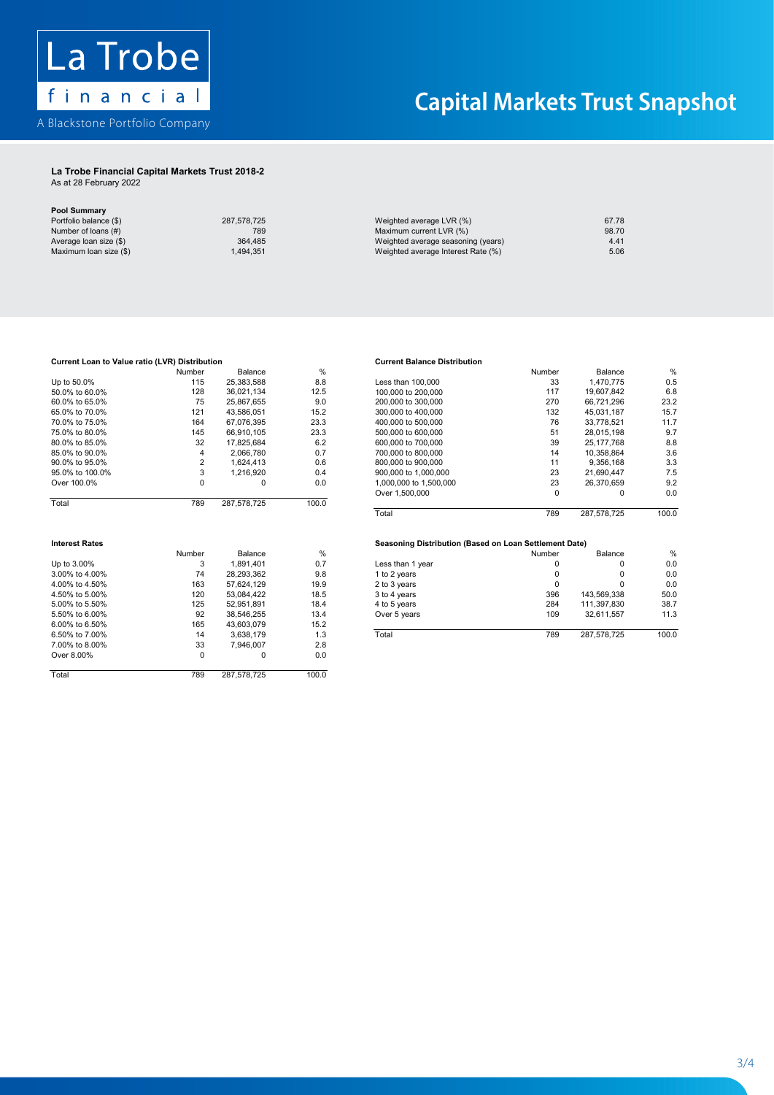

## **La Trobe Financial Capital Markets Trust 2018-2 La Trobe Financial Capital Markets Trust 2018-2**

As at 28 February 2022 As at 28 February 2022

## **Pool Summary Pool Summary**

| Portfolio balance (\$) | 287,578,725 |
|------------------------|-------------|
| Number of loans (#)    | 789         |
| Average loan size (\$) | 364,485     |
| Maximum loan size (\$) | 1,494,351   |

| 287,578,725 |
|-------------|
| 789         |
| 364,485     |
| 1.494.351   |
|             |

| Portfolio balance (\$) | 287.578.725 | Weighted average LVR (%)           | 67.78 |
|------------------------|-------------|------------------------------------|-------|
| Number of loans (#)    | 789         | Maximum current LVR (%)            | 98.70 |
| Average loan size (\$) | 364.485     | Weighted average seasoning (years) | 4.41  |
| Maximum loan size (\$) | .494.351    | Weighted average Interest Rate (%) | 5.06  |
|                        |             |                                    |       |

## 75.0% to 80.0% 145 66,910,105 23.3 51 28,015,198 9.7 70.0% to 75.0% **Current Loan to Value ratio (LVR) Distribution Current Balance Distribution** 75.0% to 80.0% 145 66,910,105 23.3 51 28,015,198 9.7 70.0% to 75.0%

| Up to 50.0%           | 115            | 25,383,588  | 8.8           | Less than 100,000                                      | 33       | 1,470,775   | 0.5           |
|-----------------------|----------------|-------------|---------------|--------------------------------------------------------|----------|-------------|---------------|
| 50.0% to 60.0%        | 128            | 36,021,134  | 12.5          | 100,000 to 200,000                                     | 117      | 19,607,842  | 6.8           |
| 60.0% to 65.0%        | 75             | 25,867,655  | 9.0           | 200,000 to 300,000                                     | 270      | 66,721,296  | 23.2          |
| 65.0% to 70.0%        | 121            | 43,586,051  | 15.2          | 300,000 to 400,000                                     | 132      | 45.031.187  | 15.7          |
| 70.0% to 75.0%        | 164            | 67,076,395  | 23.3          | 400,000 to 500,000                                     | 76       | 33,778,521  | 11.7          |
| 75.0% to 80.0%        | 145            | 66,910,105  | 23.3          | 500,000 to 600,000                                     | 51       | 28.015.198  | 9.7           |
| 80.0% to 85.0%        | 32             | 17,825,684  | 6.2           | 600,000 to 700,000                                     | 39       | 25.177.768  | 8.8           |
| 85.0% to 90.0%        | 4              | 2,066,780   | 0.7           | 700,000 to 800,000                                     | 14       | 10.358.864  | 3.6           |
| 90.0% to 95.0%        | $\overline{2}$ | 1,624,413   | 0.6           | 800,000 to 900,000                                     | 11       | 9,356,168   | 3.3           |
| 95.0% to 100.0%       | 3              | 1,216,920   | 0.4           | 900,000 to 1,000,000                                   | 23       | 21,690,447  | 7.5           |
| Over 100.0%           | 0              | 0           | 0.0           | 1,000,000 to 1,500,000                                 | 23       | 26,370,659  | 9.2           |
|                       |                |             |               | Over 1,500,000                                         | $\Omega$ | $\Omega$    | 0.0           |
| Total                 | 789            | 287,578,725 | 100.0         |                                                        |          |             |               |
|                       |                |             |               | Total                                                  | 789      | 287,578,725 | 100.0         |
|                       |                |             |               |                                                        |          |             |               |
| <b>Interest Rates</b> |                |             |               | Seasoning Distribution (Based on Loan Settlement Date) |          |             |               |
|                       | Number         | Balance     | $\frac{0}{0}$ |                                                        | Number   | Balance     | $\frac{0}{6}$ |
| Up to 3.00%           | 3              | 1,891,401   | 0.7           | Less than 1 year                                       | 0        | 0           | 0.0           |
| 3.00% to 4.00%        | 74             | 28,293,362  | 9.8           | 1 to 2 years                                           | 0        | $\Omega$    | 0.0           |
| 4.00% to 4.50%        | 163            | 57,624,129  | 19.9          | 2 to 3 years                                           | $\Omega$ | $\Omega$    | 0.0           |
| 4.50% to 5.00%        | 120            | 53,084,422  | 18.5          | 3 to 4 years                                           | 396      | 143,569,338 | 50.0          |
| 5.00% to 5.50%        | 125            | 52,951,891  | 18.4          | 4 to 5 years                                           | 284      | 111,397,830 | 38.7          |
| 5.50% to 6.00%        | 92             | 38.546.255  | 13.4          | Over 5 years                                           | 109      | 32.611.557  | 11.3          |
| 6.00% to 6.50%        | 165            | 43,603,079  | 15.2          |                                                        |          |             |               |
| 6.50% to 7.00%        | 14             | 3,638,179   | 1.3           | Total                                                  | 789      | 287,578,725 | 100.0         |
| 7.00% to 8.00%        | 33             | 7,946,007   | 2.8           |                                                        |          |             |               |
| Over 8.00%            | $\mathbf 0$    | $\Omega$    | 0.0           |                                                        |          |             |               |
| Total                 | 789            | 287,578,725 | 100.0         |                                                        |          |             |               |

### tribution<br>Altribution<br>Altribution tribution and the state of the Current Balance Distribution and the state of the Surface Distribution

|                 | Number | Balance     | %     |                        | Number | Balance     | %     |
|-----------------|--------|-------------|-------|------------------------|--------|-------------|-------|
| Up to 50.0%     | 115    | 25,383,588  | 8.8   | Less than 100,000      | 33     | 1.470.775   | 0.5   |
| 50.0% to 60.0%  | 128    | 36.021.134  | 12.5  | 100,000 to 200,000     | 117    | 19.607.842  | 6.8   |
| 60.0% to 65.0%  | 75     | 25.867.655  | 9.0   | 200,000 to 300,000     | 270    | 66.721.296  | 23.2  |
| 65.0% to 70.0%  | 121    | 43.586.051  | 15.2  | 300,000 to 400,000     | 132    | 45.031.187  | 15.7  |
| 70.0% to 75.0%  | 164    | 67.076.395  | 23.3  | 400,000 to 500,000     | 76     | 33.778.521  | 11.7  |
| 75.0% to 80.0%  | 145    | 66.910.105  | 23.3  | 500,000 to 600,000     | 51     | 28.015.198  | 9.7   |
| 80.0% to 85.0%  | 32     | 17.825.684  | 6.2   | 600,000 to 700,000     | 39     | 25.177.768  | 8.8   |
| 85.0% to 90.0%  | 4      | 2.066.780   | 0.7   | 700,000 to 800,000     | 14     | 10.358.864  | 3.6   |
| 90.0% to 95.0%  |        | 1.624.413   | 0.6   | 800,000 to 900,000     | 11     | 9.356.168   | 3.3   |
| 95.0% to 100.0% |        | 1.216.920   | 0.4   | 900,000 to 1,000,000   | 23     | 21.690.447  | 7.5   |
| Over 100.0%     |        | 0           | 0.0   | 1,000,000 to 1,500,000 | 23     | 26.370.659  | 9.2   |
|                 |        |             |       | Over 1,500,000         | 0      | 0           | 0.0   |
| Total           | 789    | 287.578.725 | 100.0 |                        |        |             |       |
|                 |        |             |       | Total                  | 789    | 287.578.725 | 100.0 |

|                | Number | Balance    | %    |                  | Number | Balance     | %     |
|----------------|--------|------------|------|------------------|--------|-------------|-------|
| Up to 3.00%    |        | .891.401   | 0.7  | Less than 1 year |        |             | 0.0   |
| 3.00% to 4.00% | 74     | 28.293.362 | 9.8  | 1 to 2 years     |        |             | 0.0   |
| 4.00% to 4.50% | 163    | 57.624.129 | 19.9 | 2 to 3 years     |        |             | 0.0   |
| 4.50% to 5.00% | 120    | 53.084.422 | 18.5 | 3 to 4 years     | 396    | 143.569.338 | 50.0  |
| 5.00% to 5.50% | 125    | 52.951.891 | 18.4 | 4 to 5 years     | 284    | 111.397.830 | 38.7  |
| 5.50% to 6.00% | 92     | 38.546.255 | 13.4 | Over 5 years     | 109    | 32.611.557  | 11.3  |
| 6.00% to 6.50% | 165    | 43.603.079 | 15.2 |                  |        |             |       |
| 6.50% to 7.00% | 14     | 3.638.179  | 1.3  | Total            | 789    | 287.578.725 | 100.0 |
|                |        |            |      |                  |        |             |       |